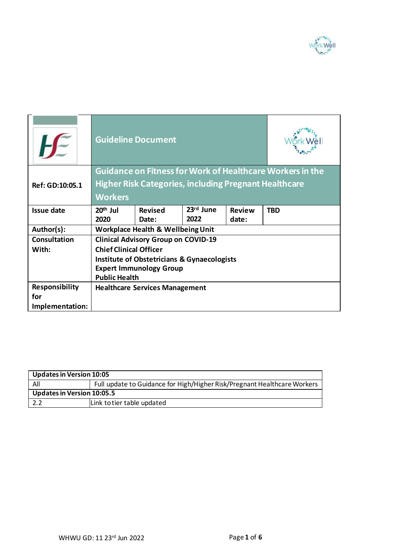

|                       | <b>Guideline Document</b>                                        |                |           |               |            |  |  |
|-----------------------|------------------------------------------------------------------|----------------|-----------|---------------|------------|--|--|
|                       | <b>Guidance on Fitness for Work of Healthcare Workers in the</b> |                |           |               |            |  |  |
| Ref: GD:10:05.1       | <b>Higher Risk Categories, including Pregnant Healthcare</b>     |                |           |               |            |  |  |
|                       | <b>Workers</b>                                                   |                |           |               |            |  |  |
| <b>Issue date</b>     | $20th$ Jul                                                       | <b>Revised</b> | 23rd June | <b>Review</b> | <b>TBD</b> |  |  |
|                       | 2020                                                             | Date:          | 2022      | date:         |            |  |  |
| Author(s):            | Workplace Health & Wellbeing Unit                                |                |           |               |            |  |  |
| <b>Consultation</b>   | <b>Clinical Advisory Group on COVID-19</b>                       |                |           |               |            |  |  |
| With:                 | <b>Chief Clinical Officer</b>                                    |                |           |               |            |  |  |
|                       | <b>Institute of Obstetricians &amp; Gynaecologists</b>           |                |           |               |            |  |  |
|                       | <b>Expert Immunology Group</b>                                   |                |           |               |            |  |  |
|                       | <b>Public Health</b>                                             |                |           |               |            |  |  |
| <b>Responsibility</b> | <b>Healthcare Services Management</b>                            |                |           |               |            |  |  |
| for                   |                                                                  |                |           |               |            |  |  |
| Implementation:       |                                                                  |                |           |               |            |  |  |

| <b>Updates in Version 10:05</b>   |                                                                          |  |  |  |
|-----------------------------------|--------------------------------------------------------------------------|--|--|--|
| All                               | Full update to Guidance for High/Higher Risk/Pregnant Healthcare Workers |  |  |  |
| <b>Updates in Version 10:05.5</b> |                                                                          |  |  |  |
|                                   | Link to tier table updated                                               |  |  |  |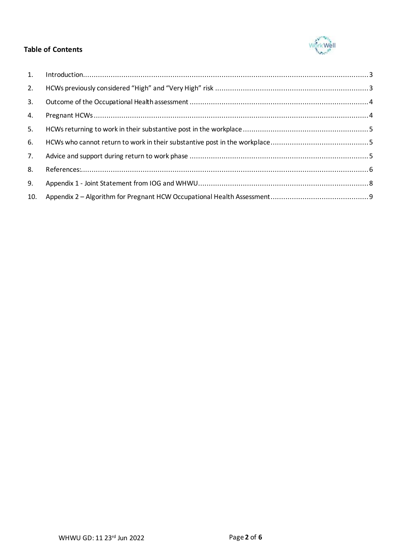

# **Table of Contents**

| 2.  |  |
|-----|--|
| 3.  |  |
| 4.  |  |
| 5.  |  |
| 6.  |  |
| 7.  |  |
| 8.  |  |
| 9.  |  |
| 10. |  |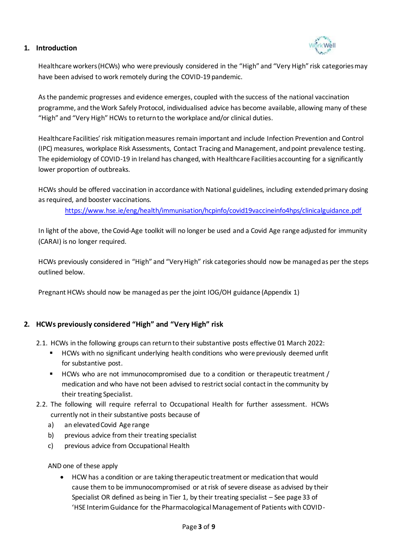

### <span id="page-2-0"></span>**1. Introduction**

Healthcare workers (HCWs) who were previously considered in the "High" and "Very High" risk categories may have been advised to work remotely during the COVID-19 pandemic.

As the pandemic progresses and evidence emerges, coupled with the success of the national vaccination programme, and the Work Safely Protocol, individualised advice has become available, allowing many of these "High" and "Very High" HCWs to return to the workplace and/or clinical duties.

Healthcare Facilities' risk mitigation measures remain important and include Infection Prevention and Control (IPC) measures, workplace Risk Assessments, Contact Tracing and Management, and point prevalence testing. The epidemiology of COVID-19 in Ireland has changed, with Healthcare Facilities accounting for a significantly lower proportion of outbreaks.

HCWs should be offered vaccination in accordance with National guidelines, including extended primary dosing as required, and booster vaccinations.

<https://www.hse.ie/eng/health/immunisation/hcpinfo/covid19vaccineinfo4hps/clinicalguidance.pdf>

In light of the above, the Covid-Age toolkit will no longer be used and a Covid Age range adjusted for immunity (CARAI) is no longer required.

HCWs previously considered in "High" and "Very High" risk categories should now be managed as per the steps outlined below.

Pregnant HCWs should now be managed as per the joint IOG/OH guidance (Appendix 1)

#### <span id="page-2-1"></span>**2. HCWs previously considered "High" and "Very High" risk**

- 2.1. HCWs in the following groups can return to their substantive posts effective 01 March 2022:
	- **HCWs with no significant underlying health conditions who were previously deemed unfit** for substantive post.
	- HCWs who are not immunocompromised due to a condition or therapeutic treatment / medication and who have not been advised to restrict social contact in the community by their treating Specialist.
- 2.2. The following will require referral to Occupational Health for further assessment. HCWs currently not in their substantive posts because of
	- a) an elevated Covid Age range
	- b) previous advice from their treating specialist
	- c) previous advice from Occupational Health

AND one of these apply

 HCW has a condition or are taking therapeutic treatment or medication that would cause them to be immunocompromised or at risk of severe disease as advised by their Specialist OR defined as being in Tier 1, by their treating specialist – See page 33 of 'HSE Interim Guidance for the Pharmacological Management of Patients with COVID-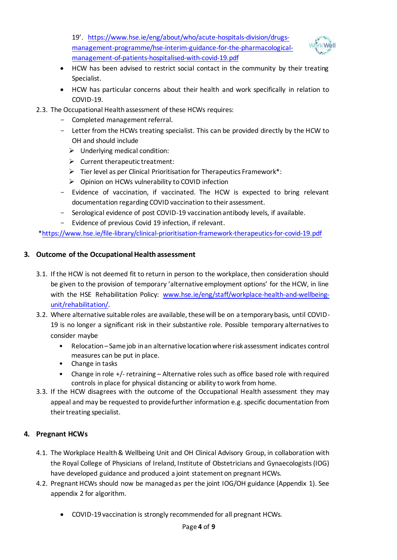19'. [https://www.hse.ie/eng/about/who/acute-hospitals-division/drugs](https://www.hse.ie/eng/about/who/acute-hospitals-division/drugs-management-programme/hse-interim-guidance-for-the-pharmacological-management-of-patients-hospitalised-with-covid-19.pdf)[management-programme/hse-interim-guidance-for-the-pharmacological](https://www.hse.ie/eng/about/who/acute-hospitals-division/drugs-management-programme/hse-interim-guidance-for-the-pharmacological-management-of-patients-hospitalised-with-covid-19.pdf)[management-of-patients-hospitalised-with-covid-19.pdf](https://www.hse.ie/eng/about/who/acute-hospitals-division/drugs-management-programme/hse-interim-guidance-for-the-pharmacological-management-of-patients-hospitalised-with-covid-19.pdf)



- HCW has been advised to restrict social contact in the community by their treating Specialist.
- HCW has particular concerns about their health and work specifically in relation to COVID-19.
- 2.3. The Occupational Health assessment of these HCWs requires:
	- Completed management referral.
	- Letter from the HCWs treating specialist. This can be provided directly by the HCW to OH and should include
		- $\triangleright$  Underlying medical condition:
		- $\triangleright$  Current therapeutic treatment:
		- $\triangleright$  Tier level as per Clinical Prioritisation for Therapeutics Framework\*:
		- $\triangleright$  Opinion on HCWs vulnerability to COVID infection
	- Evidence of vaccination, if vaccinated. The HCW is expected to bring relevant documentation regarding COVID vaccination to their assessment.
	- Serological evidence of post COVID-19 vaccination antibody levels, if available.
	- Evidence of previous Covid 19 infection, if relevant.

[\\*https://www.hse.ie/file-library/clinical-prioritisation-framework-therapeutics-for-covid-19.pdf](https://www.hse.ie/file-library/clinical-prioritisation-framework-therapeutics-for-covid-19.pdf)

#### <span id="page-3-0"></span>**3. Outcome of the Occupational Health assessment**

- 3.1. If the HCW is not deemed fit to return in person to the workplace, then consideration should be given to the provision of temporary 'alternative employment options' for the HCW, in line with the HSE Rehabilitation Policy: [www.hse.ie/eng/staff/workplace-health-and-wellbeing](http://www.hse.ie/eng/staff/workplace-health-and-wellbeing-unit/rehabilitation/)[unit/rehabilitation/.](http://www.hse.ie/eng/staff/workplace-health-and-wellbeing-unit/rehabilitation/)
- 3.2. Where alternative suitable roles are available, these will be on a temporary basis, until COVID-19 is no longer a significant risk in their substantive role. Possible temporary alternatives to consider maybe
	- Relocation Same job in an alternative location where risk assessment indicates control measures can be put in place.
	- Change in tasks
	- Change in role +/- retraining Alternative roles such as office based role with required controls in place for physical distancing or ability to work from home.
- 3.3. If the HCW disagrees with the outcome of the Occupational Health assessment they may appeal and may be requested to provide further information e.g. specific documentation from their treating specialist.

#### <span id="page-3-1"></span>**4. Pregnant HCWs**

- 4.1. The Workplace Health & Wellbeing Unit and OH Clinical Advisory Group, in collaboration with the Royal College of Physicians of Ireland, Institute of Obstetricians and Gynaecologists(IOG) have developed guidance and produced a joint statement on pregnant HCWs.
- 4.2. Pregnant HCWs should now be managed as per the joint IOG/OH guidance (Appendix 1). See appendix 2 for algorithm.
	- COVID-19 vaccination is strongly recommended for all pregnant HCWs.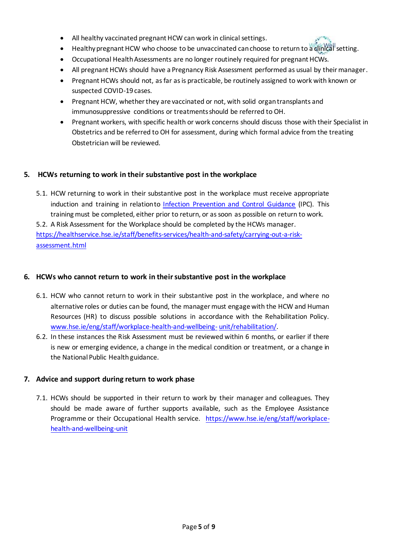- All healthy vaccinated pregnant HCW can work in clinical settings.
- 
- Healthy pregnant HCW who choose to be unvaccinated can choose to return to a clinical setting.
- Occupational Health Assessments are no longer routinely required for pregnant HCWs.
- All pregnant HCWs should have a Pregnancy Risk Assessment performed as usual by their manager.
- Pregnant HCWs should not, as far as is practicable, be routinely assigned to work with known or suspected COVID-19 cases.
- Pregnant HCW, whether they are vaccinated or not, with solid organ transplants and immunosuppressive conditions or treatments should be referred to OH.
- Pregnant workers, with specific health or work concerns should discuss those with their Specialist in Obstetrics and be referred to OH for assessment, during which formal advice from the treating Obstetrician will be reviewed.

# <span id="page-4-0"></span>**5. HCWs returning to work in their substantive post in the workplace**

5.1. HCW returning to work in their substantive post in the workplace must receive appropriate induction and training in relationto [Infection Prevention and Control Guidance](https://www.hpsc.ie/a-z/respiratory/coronavirus/novelcoronavirus/guidance/infectionpreventionandcontrolguidance/) (IPC). This training must be completed, either prior to return, or as soon as possible on return to work.

5.2. A Risk Assessment for the Workplace should be completed by the HCWs manager. [https://healthservice.hse.ie/staff/benefits-services/health-and-safety/carrying-out-a-risk](https://healthservice.hse.ie/staff/benefits-services/health-and-safety/carrying-out-a-risk-assessment.html)[assessment.html](https://healthservice.hse.ie/staff/benefits-services/health-and-safety/carrying-out-a-risk-assessment.html)

# <span id="page-4-1"></span>**6. HCWs who cannot return to work in their substantive post in the workplace**

- 6.1. HCW who cannot return to work in their substantive post in the workplace, and where no alternative roles or duties can be found, the manager must engage with the HCW and Human Resources (HR) to discuss possible solutions in accordance with the Rehabilitation Policy. [www.hse.ie/eng/staff/workplace-health-and-wellbeing-](http://www.hse.ie/eng/staff/workplace-health-and-wellbeing-unit/rehabilitation/) [unit/rehabilitation/.](http://www.hse.ie/eng/staff/workplace-health-and-wellbeing-unit/rehabilitation/)
- 6.2. In these instances the Risk Assessment must be reviewed within 6 months, or earlier if there is new or emerging evidence, a change in the medical condition or treatment, or a change in the National Public Health guidance.

# <span id="page-4-2"></span>**7. Advice and support during return to work phase**

7.1. HCWs should be supported in their return to work by their manager and colleagues. They should be made aware of further supports available, such as the Employee Assistance Programme or their Occupational Health service. [https://www.hse.ie/eng/staff/workplace](https://www.hse.ie/eng/staff/workplace-health-and-wellbeing-unit)[health-and-wellbeing-unit](https://www.hse.ie/eng/staff/workplace-health-and-wellbeing-unit)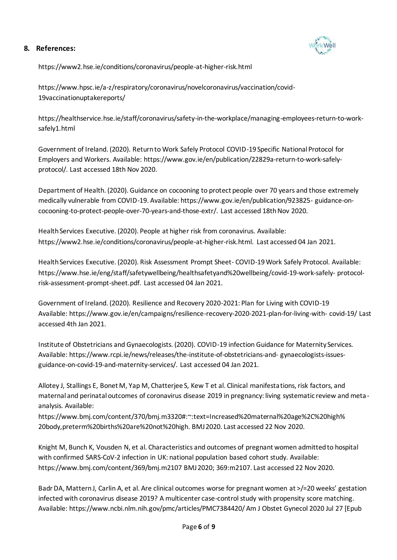#### <span id="page-5-0"></span>**8. References:**



<https://www2.hse.ie/conditions/coronavirus/people-at-higher-risk.html>

[https://www.hpsc.ie/a-z/respiratory/coronavirus/novelcoronavirus/vaccination/covid-](https://www.hpsc.ie/a-z/respiratory/coronavirus/novelcoronavirus/vaccination/covid-19vaccinationuptakereports/)[19vaccinationuptakereports/](https://www.hpsc.ie/a-z/respiratory/coronavirus/novelcoronavirus/vaccination/covid-19vaccinationuptakereports/)

[https://healthservice.hse.ie/staff/coronavirus/safety-in-the-workplace/managing-employees-return-to-work](https://healthservice.hse.ie/staff/coronavirus/safety-in-the-workplace/managing-employees-return-to-work-safely1.html)[safely1.html](https://healthservice.hse.ie/staff/coronavirus/safety-in-the-workplace/managing-employees-return-to-work-safely1.html)

Government of Ireland. (2020). Return to Work Safely Protocol COVID-19 Specific National Protocol for Employers and Workers. Available[: https://www.gov.ie/en/publication/22829a-return-to-work-safely](https://www.gov.ie/en/publication/22829a-return-to-work-safely-protocol/)[protocol/. L](https://www.gov.ie/en/publication/22829a-return-to-work-safely-protocol/)ast accessed 18th Nov 2020.

Department of Health. (2020). Guidance on cocooning to protect people over 70 years and those extremely medically vulnerable from COVID-19. Available[: https://www.gov.ie/en/publication/923825-](https://www.gov.ie/en/publication/923825-guidance-on-cocooning-to-protect-people-over-70-years-and-those-extr/) [guidance-on](https://www.gov.ie/en/publication/923825-guidance-on-cocooning-to-protect-people-over-70-years-and-those-extr/)[cocooning-to-protect-people-over-70-years-and-those-extr/.](https://www.gov.ie/en/publication/923825-guidance-on-cocooning-to-protect-people-over-70-years-and-those-extr/) Last accessed 18th Nov 2020.

Health Services Executive. (2020). People at higher risk from coronavirus. Available: [https://www2.hse.ie/conditions/coronavirus/people-at-higher-risk.html.](https://www2.hse.ie/conditions/coronavirus/people-at-higher-risk.html) Last accessed 04 Jan 2021.

Health Services Executive. (2020). Risk Assessment Prompt Sheet- COVID-19 Work Safely Protocol. Available: [https://www.hse.ie/eng/staff/safetywellbeing/healthsafetyand%20wellbeing/covid-19-work-safely-](https://www.hse.ie/eng/staff/safetywellbeing/healthsafetyand%20wellbeing/covid-19-work-safely-protocol-risk-assessment-prompt-sheet.pdf) [protocol](https://www.hse.ie/eng/staff/safetywellbeing/healthsafetyand%20wellbeing/covid-19-work-safely-protocol-risk-assessment-prompt-sheet.pdf)[risk-assessment-prompt-sheet.pdf. L](https://www.hse.ie/eng/staff/safetywellbeing/healthsafetyand%20wellbeing/covid-19-work-safely-protocol-risk-assessment-prompt-sheet.pdf)ast accessed 04 Jan 2021.

Government of Ireland. (2020). Resilience and Recovery 2020-2021: Plan for Living with COVID-19 Available[: https://www.gov.ie/en/campaigns/resilience-recovery-2020-2021-plan-for-living-with-](https://www.gov.ie/en/campaigns/resilience-recovery-2020-2021-plan-for-living-with-covid-19/) [covid-19/ L](https://www.gov.ie/en/campaigns/resilience-recovery-2020-2021-plan-for-living-with-covid-19/)ast accessed 4th Jan 2021.

Institute of Obstetricians and Gynaecologists. (2020). COVID-19 infection Guidance for Maternity Services. Available[: https://www.rcpi.ie/news/releases/the-institute-of-obstetricians-and-](https://www.rcpi.ie/news/releases/the-institute-of-obstetricians-and-gynaecologists-issues-guidance-on-covid-19-and-maternity-services/) [gynaecologists-issues](https://www.rcpi.ie/news/releases/the-institute-of-obstetricians-and-gynaecologists-issues-guidance-on-covid-19-and-maternity-services/)[guidance-on-covid-19-and-maternity-services/.](https://www.rcpi.ie/news/releases/the-institute-of-obstetricians-and-gynaecologists-issues-guidance-on-covid-19-and-maternity-services/) Last accessed 04 Jan 2021.

Allotey J, Stallings E, Bonet M, Yap M, Chatterjee S, Kew T et al. Clinical manifestations, risk factors, and maternal and perinatal outcomes of coronavirus disease 2019 in pregnancy: living systematic review and metaanalysis. Available:

[https://www.bmj.com/content/370/bmj.m3320#:~:text=Increased%20maternal%20age%2C%20high%](https://www.bmj.com/content/370/bmj.m3320#%3A~%3Atext%3DIncreased%20maternal%20age%2C%20high%20body%2Cpreterm%20births%20are%20not%20high) [20body,preterm%20births%20are%20not%20high. B](https://www.bmj.com/content/370/bmj.m3320#%3A~%3Atext%3DIncreased%20maternal%20age%2C%20high%20body%2Cpreterm%20births%20are%20not%20high)MJ 2020. Last accessed 22 Nov 2020.

Knight M, Bunch K, Vousden N, et al. Characteristics and outcomes of pregnant women admitted to hospital with confirmed SARS-CoV-2 infection in UK: national population based cohort study. Available: [https://www.bmj.com/content/369/bmj.m2107 B](https://www.bmj.com/content/369/bmj.m2107)MJ 2020; 369:m2107. Last accessed 22 Nov 2020.

Badr DA, Mattern J, Carlin A, et al. Are clinical outcomes worse for pregnant women at >/=20 weeks' gestation infected with coronavirus disease 2019? A multicenter case-control study with propensity score matching. Available[: https://www.ncbi.nlm.nih.gov/pmc/articles/PMC7384420/ A](https://www.ncbi.nlm.nih.gov/pmc/articles/PMC7384420/)m J Obstet Gynecol 2020 Jul 27 [Epub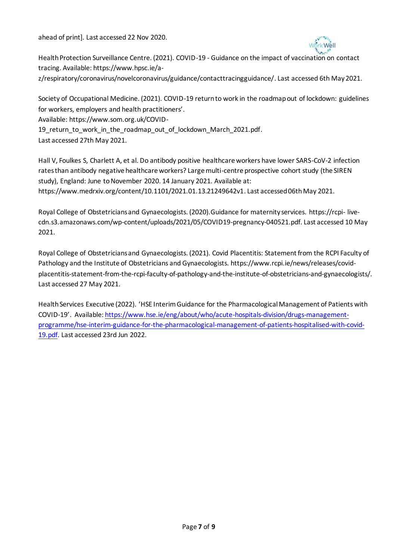ahead of print]. Last accessed 22 Nov 2020.



Health Protection Surveillance Centre. (2021). COVID-19 - Guidance on the impact of vaccination on contact tracing. Available[: https://www.hpsc.ie/a](https://www.hpsc.ie/a-z/respiratory/coronavirus/novelcoronavirus/guidance/contacttracingguidance/)[z/respiratory/coronavirus/novelcoronavirus/guidance/contacttracingguidance/.](https://www.hpsc.ie/a-z/respiratory/coronavirus/novelcoronavirus/guidance/contacttracingguidance/) Last accessed 6th May 2021.

Society of Occupational Medicine. (2021). COVID-19 return to work in the roadmap out of lockdown: guidelines for workers, employers and health practitioners'. Available[: https://www.som.org.uk/COVID-](https://www.som.org.uk/COVID-19_return_to_work_in_the_roadmap_out_of_lockdown_March_2021.pdf)19 return to work in the roadmap out of lockdown March 2021.pdf. Last accessed 27th May 2021.

Hall V, Foulkes S, Charlett A, et al. Do antibody positive healthcare workers have lower SARS-CoV-2 infection rates than antibody negative healthcare workers? Large multi-centre prospective cohort study (the SIREN study), England: June to November 2020. 14 January 2021. Available at: <https://www.medrxiv.org/content/10.1101/2021.01.13.21249642v1>. Last accessed 06th May 2021.

Royal College of Obstetricians and Gynaecologists. (2020).Guidance for maternity services. [https://rcpi-](https://rcpi-live-cdn.s3.amazonaws.com/wp-content/uploads/2021/05/COVID19-pregnancy-040521.pdf) [live](https://rcpi-live-cdn.s3.amazonaws.com/wp-content/uploads/2021/05/COVID19-pregnancy-040521.pdf)[cdn.s3.amazonaws.com/wp-content/uploads/2021/05/COVID19-pregnancy-040521.pdf. L](https://rcpi-live-cdn.s3.amazonaws.com/wp-content/uploads/2021/05/COVID19-pregnancy-040521.pdf)ast accessed 10 May 2021.

Royal College of Obstetricians and Gynaecologists. (2021). Covid Placentitis: Statement from the RCPI Faculty of Pathology and the Institute of Obstetricians and Gynaecologists[. https://www.rcpi.ie/news/releases/covid](https://www.rcpi.ie/news/releases/covid-placentitis-statement-from-the-rcpi-faculty-of-pathology-and-the-institute-of-obstetricians-and-gynaecologists/)[placentitis-statement-from-the-rcpi-faculty-of-pathology-and-the-institute-of-obstetricians-and-gynaecologists/.](https://www.rcpi.ie/news/releases/covid-placentitis-statement-from-the-rcpi-faculty-of-pathology-and-the-institute-of-obstetricians-and-gynaecologists/) Last accessed 27 May 2021.

Health Services Executive (2022). 'HSE Interim Guidance for the Pharmacological Management of Patients with COVID-19'. Available[: https://www.hse.ie/eng/about/who/acute-hospitals-division/drugs-management](https://www.hse.ie/eng/about/who/acute-hospitals-division/drugs-management-programme/hse-interim-guidance-for-the-pharmacological-management-of-patients-hospitalised-with-covid-19.pdf)[programme/hse-interim-guidance-for-the-pharmacological-management-of-patients-hospitalised-with-covid-](https://www.hse.ie/eng/about/who/acute-hospitals-division/drugs-management-programme/hse-interim-guidance-for-the-pharmacological-management-of-patients-hospitalised-with-covid-19.pdf)[19.pdf.](https://www.hse.ie/eng/about/who/acute-hospitals-division/drugs-management-programme/hse-interim-guidance-for-the-pharmacological-management-of-patients-hospitalised-with-covid-19.pdf) Last accessed 23rd Jun 2022.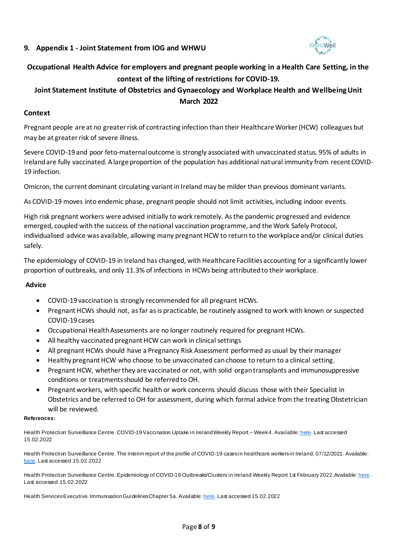#### <span id="page-7-0"></span>**9. Appendix 1 - Joint Statement from IOG and WHWU**



# **Occupational Health Advice for employers and pregnant people working in a Health Care Setting, in the context of the lifting of restrictions for COVID-19.**

## **Joint Statement Institute of Obstetrics and Gynaecology and Workplace Health and Wellbeing Unit March 2022**

#### **Context**

Pregnant people are at no greater risk of contracting infection than their Healthcare Worker (HCW) colleagues but may be at greater risk of severe illness.

Severe COVID-19 and poor feto-maternal outcome is strongly associated with unvaccinated status. 95% of adults in Ireland are fully vaccinated. A large proportion of the population has additional natural immunity from recent COVID-19 infection.

Omicron, the current dominant circulating variant in Ireland may be milder than previous dominant variants.

As COVID-19 moves into endemic phase, pregnant people should not limit activities, including indoor events.

High risk pregnant workers were advised initially to work remotely. As the pandemic progressed and evidence emerged, coupled with the success of the national vaccination programme, and the Work Safely Protocol, individualised advice was available, allowing many pregnant HCW to return to the workplace and/or clinical duties safely.

The epidemiology of COVID-19 in Ireland has changed, with Healthcare Facilities accounting for a significantly lower proportion of outbreaks, and only 11.3% of infections in HCWs being attributed to their workplace.

#### **Advice**

- COVID-19 vaccination is strongly recommended for all pregnant HCWs.
- Pregnant HCWs should not, as far as is practicable, be routinely assigned to work with known or suspected COVID-19 cases
- Occupational Health Assessments are no longer routinely required for pregnant HCWs.
- All healthy vaccinated pregnant HCW can work in clinical settings
- All pregnant HCWs should have a Pregnancy Risk Assessment performed as usual by their manager
- Healthy pregnant HCW who choose to be unvaccinated can choose to return to a clinical setting.
- Pregnant HCW, whether they are vaccinated or not, with solid organ transplants and immunosuppressive conditions or treatments should be referred to OH.
- Pregnant workers, with specific health or work concerns should discuss those with their Specialist in Obstetrics and be referred to OH for assessment, during which formal advice from the treating Obstetrician will be reviewed.

#### **References:**

Health Protection Surveillance Centre. COVID-19 Vaccination Uptake in Ireland Weekly Report – Week 4. Availabl[e: here](https://www.hpsc.ie/a-z/respiratory/coronavirus/novelcoronavirus/vaccination/covid-19vaccinationuptakereports/Covax%20slides%20for%20HPSC%20web%20based%20on%20NPHET%20report%2020220202%20v1.0.pdf). Last accessed 15.02.2022

Health Protection Surveillance Centre. The Interim report of the profile of COVID-19 cases in healthcare workers in Ireland, 07/12/2021. Available: [here.](https://www.hpsc.ie/a-z/respiratory/coronavirus/novelcoronavirus/surveillance/covid-19casesinhealthcareworkers/HCW_report_07%2012%202021_1.0%20website%20version.pdf) Last accessed 15.02.2022

Health Protection Surveillance Centre. Epidemiology of COVID-19 Outbreaks/Clusters in Ireland Weekly Report 1st February 2022.Availabl[e: here](https://www.hpsc.ie/a-z/respiratory/coronavirus/novelcoronavirus/surveillance/covid-19outbreaksclustersinireland/covid-19outbreaksclustersinirelandweeklyreports2022/COVID-19%20Weekly%20Outbreak%20Report%20Week%2004%202022%20Abridged%20Web%20v.1.pdf) . Last accessed 15.02.2022

Health Services Executive. Immunisation Guidelines Chapter 5a. Available[: here](https://www.hse.ie/eng/health/immunisation/hcpinfo/guidelines/covid19.pdf). Last accessed 15.02.2022